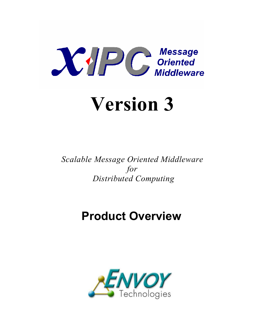

# **Version 3**

*Scalable Message Oriented Middleware for Distributed Computing* 

# **Product Overview**

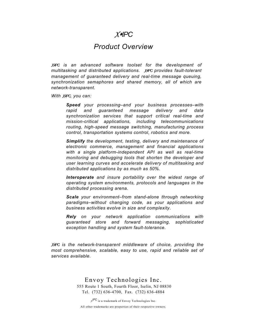# *XIPC*

# *Product Overview*

*XIPC is an advanced software toolset for the development of multitasking and distributed applications. XIPC provides fault-tolerant management of guaranteed delivery and real-time message queuing, synchronization semaphores and shared memory, all of which are network-transparent.* 

*With XIPC, you can:* 

*Speed your processing–and your business processes–with rapid and guaranteed message delivery and data synchronization services that support critical real-time and mission-critical applications, including telecommunications routing, high-speed message switching, manufacturing process control, transportation systems control, robotics and more.* 

*Simplify the development, testing, delivery and maintenance of electronic commerce, management and financial applications with a single platform-independent API as well as real-time monitoring and debugging tools that shorten the developer and user learning curves and accelerate delivery of multitasking and distributed applications by as much as 50%.* 

*Interoperate and insure portability over the widest range of operating system environments, protocols and languages in the distributed processing arena.* 

*Scale your environment–from stand-alone through networking paradigms–without changing code, as your applications and business activities evolve in size and complexity.* 

*Rely on your network application communications with guaranteed store and forward messaging, sophisticated exception handling and system fault-tolerance.* 

*XIPC is the network-transparent middleware of choice, providing the most comprehensive, scalable, easy to use, rapid and reliable set of services available.* 

> Envoy Technologies Inc. 555 Route 1 South, Fourth Floor, Iselin, NJ 08830 Tel. (732) 636-4700, Fax. (732) 636-4884

*<sup>X</sup>IPC* is a trademark of Envoy Technologies Inc. All other trademarks are properties of their respective owners.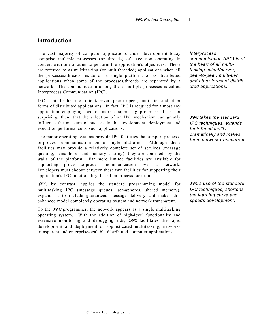#### **Introduction**

The vast majority of computer applications under development today comprise multiple processes (or threads) of execution operating in concert with one another to perform the application's objectives. These are referred to as multitasking (or multithreaded) applications when all the processes/threads reside on a single platform, or as distributed applications when some of the processes/threads are separated by a network. The communication among these multiple processes is called Interprocess Communication (IPC).

IPC is at the heart of client/server, peer-to-peer, multi-tier and other forms of distributed applications. In fact, IPC is required for almost any application employing two or more cooperating processes. It is not surprising, then, that the selection of an IPC mechanism can greatly influence the measure of success in the development, deployment and execution performance of such applications.

The major operating systems provide IPC facilities that support process-<br>to-process communication on a single platform. Although these them network transparent. to-process communication on a single platform. facilities may provide a relatively complete set of services (message queuing, semaphores and memory sharing), they are confined by the walls of the platform. Far more limited facilities are available for supporting process-to-process communication over a network. Developers must choose between these two facilities for supporting their application's IPC functionality, based on process location.

*XIPC*, by contrast, applies the standard programming model for multitasking IPC (message queues, semaphores, shared memory), expands it to include guaranteed message delivery and makes this enhanced model completely operating system and network transparent.

To the *XIPC* programmer, the network appears as a single multitasking operating system. With the addition of high-level functionality and extensive monitoring and debugging aids, *XIPC* facilitates the rapid development and deployment of sophisticated multitasking, networktransparent and enterprise-scalable distributed computer applications.

*Interprocess communication (IPC) is at the heart of all multitasking client/server, peer-to-peer, multi-tier and other forms of distributed applications.* 

*XIPC takes the standard IPC techniques, extends their functionality dramatically and makes* 

*XIPC's use of the standard IPC techniques, shortens the learning curve and speeds development.*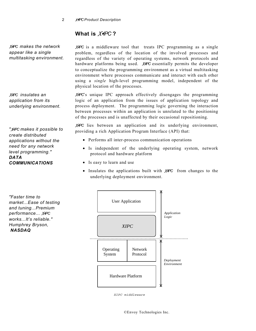# **What is** *XIPC* **?**

*XIPC makes the network appear like a single multitasking environment.* 

*XIPC insulates an application from its underlying environment.* 

*create distributed applications without the need for any network level programming." DATA COMMUNICATIONS*

*XIPC* is a middleware tool that treats IPC programming as a single problem, regardless of the location of the involved processes and regardless of the variety of operating systems, network protocols and hardware platforms being used. *XIPC* essentially permits the developer to conceptualize the programming environment as a virtual multitasking environment where processes communicate and interact with each other using a *single* high-level programming model, independent of the physical location of the processes.

*XIPC*'s unique IPC approach effectively disengages the programming logic of an application from the issues of application topology and process deployment. The programming logic governing the interaction between processes within an application is unrelated to the positioning of the processes and is unaffected by their occasional repositioning.

*XIPC* lies between an application and its underlying environment, *N*PC makes it possible to *moviding a rich Application Program Interface (API) that:* 

- Performs all inter-process communication operations
- Is independent of the underlying operating system, network protocol and hardware platform
- Is easy to learn and use
- Insulates the applications built with **X***IPC* from changes to the underlying deployment environment.





*XIPC middleware*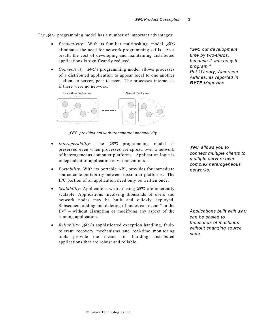The *XIPC* programming model has a number of important advantages:

- *Productivity:* With its familiar multitasking model, *XIPC* eliminates the need for network programming skills. As a result, the cost of developing and maintaining distributed applications is significantly reduced.
- *Connectivity*: *XIPC*'s programming model allows processes of a distributed application to appear local to one another – client to server, peer to peer. The processes interact as if there were no network.



*XIPC provides network-transparent connectivity* 

- *Interoperability:* The *XIPC* programming model is preserved even when processes are spread over a network of heterogeneous computer platforms. Application logic is independent of application environment mix.
- *Portability:* With its portable API, provides for immediate *networks*. source code portability between dissimilar platforms. The IPC portion of an application need only be written once.
- *Scalability:* Applications written using *XIPC* are inherently scalable. Applications involving thousands of users and network nodes may be built and quickly deployed. Subsequent adding and deleting of nodes can occur "on the fly" – without disrupting or modifying any aspect of the running application.
- *Reliability*: *XIPC*'s sophisticated exception handling, faulttolerant recovery mechanisms and real-time monitoring tools provide the means for building distributed applications that are robust and reliable.

*"XIPC cut development time by two-thirds, because it was easy to program." Pat O'Leary, American Airlines, as reported in BYTE Magazine* 

*XIPC allows you to connect multiple clients to multiple servers over complex heterogeneous* 

*Applications built with XIPC can be scaled to thousands of machines without changing source code.*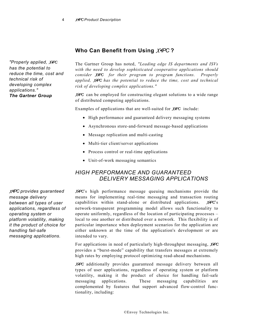# **Who Can Benefit from Using** *XIPC* **?**

*"Properly applied, XIPC has the potential to reduce the time, cost and technical risk of developing complex applications." The Gartner Group*

The Gartner Group has noted, *"Leading edge IS departments and ISVs with the need to develop sophisticated cooperative applications should consider XIPC for their program to program functions. Properly applied, XIPC has the potential to reduce the time, cost and technical risk of developing complex applications."*

*XIPC* can be employed for constructing elegant solutions to a wide range of distributed computing applications.

Examples of applications that are well-suited for *XIPC* include:

- High performance and guaranteed delivery messaging systems
- Asynchronous store-and-forward message-based applications
- Message replication and multi-casting
- Multi-tier client/server applications
- Process control or real-time applications
- Unit-of-work messaging semantics

### *HIGH PERFORMANCE AND GUARANTEED DELIVERY MESSAGING APPLICATIONS*

*XIPC*'s high performance message queuing mechanisms provide the means for implementing real-time messaging and transaction routing capabilities within stand-alone or distributed applications. *XIPC*'s network-transparent programming model allows such functionality to operate uniformly, regardless of the location of participating processes – local to one another or distributed over a network. This flexibility is of particular importance when deployment scenarios for the application are either unknown at the time of the application's development or are intended to vary.

For applications in need of particularly high-throughput messaging, *XIPC* provides a "burst-mode" capability that transfers messages at extremely high rates by employing protocol optimizing read-ahead mechanisms.

*XIPC* additionally provides guaranteed message delivery between all types of user applications, regardless of operating system or platform volatility, making it the product of choice for handling fail-safe messaging applications. These messaging capabilities are complemented by features that support advanced flow-control functionality, including:

*XIPC provides guaranteed message delivery between all types of user applications, regardless of operating system or platform volatility, making it the product of choice for handling fail-safe messaging applications.*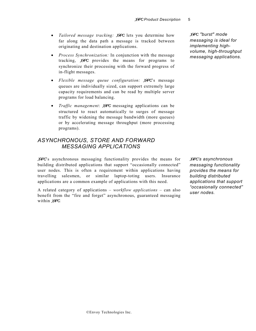- *Tailored message tracking: XIPC* lets you determine how far along the data path a message is tracked between originating and destination applications.
- *Process Synchronization:* In conjunction with the message tracking, *XIPC* provides the means for programs to synchronize their processing with the forward progress of in-flight messages.
- *Flexible message queue configuration: XIPC*'s message queues are individually sized, can support extremely large capacity requirements and can be read by multiple server programs for load balancing.
- *Traffic management*: *XIPC* messaging applications can be structured to react automatically to surges of message traffic by widening the message bandwidth (more queues) or by accelerating message throughput (more processing programs).

### *ASYNCHRONOUS, STORE AND FORWARD MESSAGING APPLICATIONS*

*XIPC*'s asynchronous messaging functionality provides the means for building distributed applications that support "occasionally connected" user nodes. This is often a requirement within applications having travelling salesmen, or similar laptop-toting users. Insurance applications are a common example of applications with this need.

A related category of applications – *workflow applications* – can also benefit from the "fire and forget" asynchronous, guaranteed messaging within *XIPC.*

*XIPC "burst" mode messaging is ideal for implementing highvolume, high-throughput messaging applications.* 

*XIPC's asynchronous messaging functionality provides the means for building distributed applications that support "occasionally connected" user nodes.*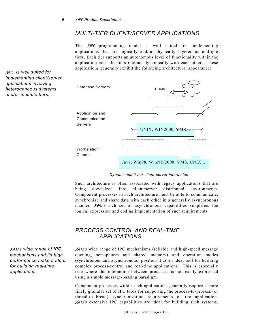#### *MULTI-TIER CLIENT/SERVER APPLICATIONS*

The *XIPC* programming model is well suited for implementing applications that are logically and/or physically layered as multiple tiers. Each tier supports an autonomous level of functionality within the application and the tiers interact dynamically with each other. These applications generally exhibit the following architectural appearance:



*Dynamic multi-tier client-server interaction* 

Such architecture is often associated with legacy applications that are being downsized into client/server distributed environments. Component processes in such architecture must be able to communicate, synchronize and share data with each other in a generally asynchronous manner. *XIPC*'s rich set of asynchronous capabilities simplifies the logical expression and coding implementation of such requirements.

# *PROCESS CONTROL AND REAL-TIME APPLICATIONS*

*XIPC's wide range of IPC mechanisms and its high performance make it ideal for building real-time applications.* 

*XIPC is well suited for implementing client/server applications involving heterogeneous systems and/or multiple tiers.* 

> *XIPC*'s wide range of IPC mechanisms (reliable and high-speed message queuing, semaphores and shared memory) and operation modes (synchronous and asynchronous) position it as an ideal tool for building complex process-control and real-time applications. This is especially true where the interaction between processes is not easily expressed using a simple message-passing paradigm.

> Component processes within such applications generally require a more finely granular set of IPC tools for supporting the process-to-process (or thread-to-thread) synchronization requirements of the application. *XIPC*'s extensive IPC capabilities are ideal for building such systems.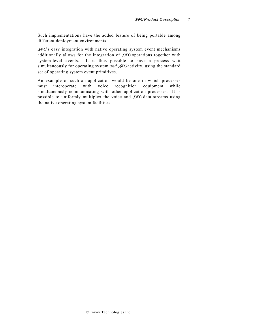Such implementations have the added feature of being portable among different deployment environments.

*XIPC*'s easy integration with native operating system event mechanisms additionally allows for the integration of *XIPC* operations together with system-level events. It is thus possible to have a process wait simultaneously for operating system *and XIPC* activity, using the standard set of operating system event primitives.

An example of such an application would be one in which processes must interoperate with voice recognition equipment while simultaneously communicating with other application processes. It is possible to uniformly multiplex the voice and *XIPC* data streams using the native operating system facilities.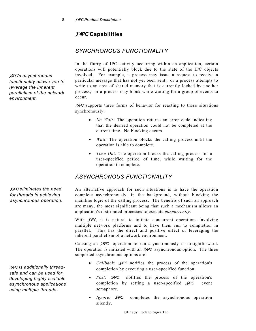# *XIPC* **Capabilities**

# *SYNCHRONOUS FUNCTIONALITY*

*XIPC's asynchronous functionality allows you to leverage the inherent parallelism of the network environment.* 

In the flurry of IPC activity occurring within an application, certain operations will potentially block due to the state of the IPC objects involved. For example, a process may issue a request to receive a particular message that has not yet been sent; or a process attempts to write to an area of shared memory that is currently locked by another process; or a process may block while waiting for a group of events to occur.

*XIPC* supports three forms of behavior for reacting to these situations synchronously:

- *No Wait:* The operation returns an error code indicating that the desired operation could not be completed at the current time. No blocking occurs.
- *Wait:* The operation blocks the calling process until the operation is able to complete.
- *Time Out:* The operation blocks the calling process for a user-specified period of time, while waiting for the operation to complete.

# *ASYNCHRONOUS FUNCTIONALITY*

An alternative approach for such situations is to have the operation complete asynchronously, in the background, without blocking the mainline logic of the calling process. The benefits of such an approach are many, the most significant being that such a mechanism allows an application's distributed processes to execute *concurrently*.

With *XIPC*, it is natural to initiate concurrent operations involving multiple network platforms and to have them run to completion in parallel*.* This has the direct and positive effect of leveraging the inherent parallelism of a network environment.

Causing an *XIPC* operation to run asynchronously is straightforward. The operation is initiated with an *XIPC* asynchronous option. The three supported asynchronous options are:

- *Callback: XIPC* notifies the process of the operation's completion by executing a user-specified function. *XIPC is additionally thread-*
	- *Post: XIPC* notifies the process of the operation's completion by setting a user-specified *XIPC* event semaphore.
	- *Ignore: XIPC* completes the asynchronous operation silently.

©Envoy Technologies Inc.

*XIPC eliminates the need for threads in achieving asynchronous operation.* 

*safe and can be used for developing highly scalable asynchronous applications using multiple threads.*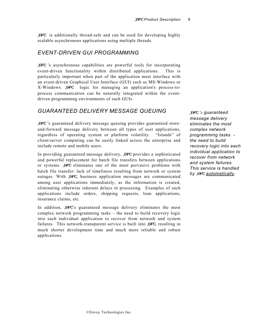*XIPC* is additionally thread-safe and can be used for developing highly scalable asynchronous applications using multiple threads.

#### *EVENT-DRIVEN GUI PROGRAMMING*

*XIPC* 's asynchronous capabilities are powerful tools for incorporating event-driven functionality within distributed applications. This is particularly important when part of the application must interface with an event-driven Graphical User Interface (GUI) such as MS-Windows or X-Windows. *XIPC* logic for managing an application's process-toprocess communication can be naturally integrated within the eventdriven programming environments of such GUIs.

#### *GUARANTEED DELIVERY MESSAGE QUEUING*

*XIPC* 's guaranteed delivery message queuing provides guaranteed storeand-forward message delivery between all types of user applications, regardless of operating system or platform volatility. "Islands" of client/server computing can be easily linked across the enterprise and include remote and mobile users.

In providing guaranteed message delivery, *XIPC* provides a sophisticated and powerful replacement for batch file transfers between applications or systems. *XIPC* eliminates one of the most pervasive problems with batch file transfer: lack of timeliness resulting from network or system outages. With *XIPC*, business application messages are communicated among user applications immediately, as the information is created, eliminating otherwise inherent delays in processing. Examples of such applications include orders, shipping requests, loan applications, insurance claims, etc.

In addition, *XIPC*'s guaranteed message delivery eliminates the most complex network programming tasks – the need to build recovery logic into each individual application to recover from network and system failures. This network-transparent service is built into *XIPC*, resulting in much shorter development time and much more reliable and robust applications.

*XIPC 's guaranteed message delivery eliminates the most complex network programming tasks the need to build recovery logic into each individual application to recover from network and system failures. This service is handled by XIPC automatically.*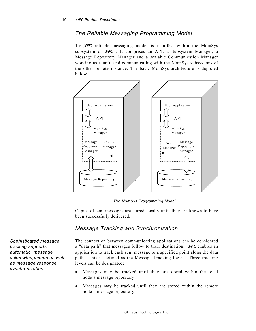#### *The Reliable Messaging Programming Model*

The *XIPC* reliable messaging model is manifest within the MomSys subsystem of *XIPC* . It comprises an API, a Subsystem Manager, a Message Repository Manager and a scalable Communication Manager working as a unit, and communicating with the MomSys subsystems of the other remote instance. The basic MomSys architecture is depicted below.



*The MomSys Programming Model* 

Copies of sent messages are stored locally until they are known to have been successfully delivered.

#### *Message Tracking and Synchronization*

The connection between communicating applications can be considered a "data path" that messages follow to their destination. *XIPC* enables an application to track each sent message to a specified point along the data path. This is defined as the Message Tracking Level. Three tracking levels can be designated:

- Messages may be tracked until they are stored within the local node's message repository.
- Messages may be tracked until they are stored within the remote node's message repository.

*Sophisticated message tracking supports automatic message acknowledgments as well as message response synchronization.*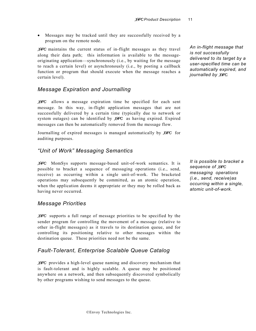• Messages may be tracked until they are successfully received by a program on the remote node.

*XIPC* maintains the current status of in-flight messages as they travel along their data path; this information is available to the messageoriginating application––synchronously (i.e., by waiting for the message to reach a certain level) or asynchronously (i.e., by posting a callback function or program that should execute when the message reaches a certain level).

### *Message Expiration and Journalling*

*XIPC* allows a message expiration time be specified for each sent message. In this way, in-flight application messages that are not successfully delivered by a certain time (typically due to network or system outages) can be identified by *XIPC* as having expired. Expired messages can then be automatically removed from the message flow.

Journalling of expired messages is managed automatically by *XIPC* for auditing purposes.

### *"Unit of Work" Messaging Semantics*

*XIPC* MomSys supports message-based unit-of-work semantics. It is possible to bracket a sequence of messaging operations (i.e., send, receive) as occurring within a single unit-of-work. The bracketed operations may subsequently be committed, as an atomic operation, when the application deems it appropriate or they may be rolled back as having never occurred.

#### *Message Priorities*

*XIPC* supports a full range of message priorities to be specified by the sender program for controlling the movement of a message (relative to other in-flight messages) as it travels to its destination queue, and for controlling its positioning relative to other messages within the destination queue. These priorities need not be the same.

# *Fault-Tolerant, Enterprise Scalable Queue Catalog*

*XIPC* provides a high-level queue naming and discovery mechanism that is fault-tolerant and is highly scalable. A queue may be positioned anywhere on a network, and then subsequently discovered symbolically by other programs wishing to send messages to the queue.

*An in-flight message that is not successfully delivered to its target by a user-specified time can be automatically expired, and journalled by XIPC.* 

*It is possible to bracket a sequence of XIPC messaging operations (i.e., send, receive)as occurring within a single, atomic unit-of-work.*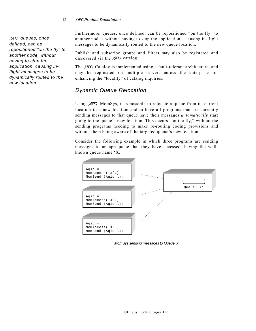#### 12 *XIPC Product Description*

*XIPC queues, once defined, can be repositioned "on the fly" to another node, without having to stop the application, causing inflight messages to be dynamically routed to the new location.* 

Furthermore, queues, once defined, can be repositioned "on the fly" to another node - without having to stop the application – causing in-flight messages to be dynamically routed to the new queue location.

Publish and subscribe groups and filters may also be registered and discovered via the *XIPC* catalog.

The *XIPC* Catalog is implemented using a fault-tolerant architecture, and may be replicated on multiple servers across the enterprise for enhancing the "locality" of catalog inquiries.

#### *Dynamic Queue Relocation*

Using *XIPC* MomSys, it is possible to relocate a queue from its current location to a new location and to have all programs that are currently sending messages to that queue have their messages *automatically* start going to the queue's new location. This occurs "on the fly," without the sending programs needing to make re-routing coding provisions and without them being aware of the targeted queue's new location.

Consider the following example in which three programs are sending messages to an app-queue that they have accessed, having the wellknown queue name 'X.'



*MomSys sending messages to Queue 'X'*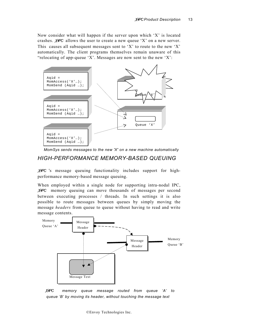Now consider what will happen if the server upon which 'X' is located crashes. *XIPC* allows the user to create a new queue 'X' on a new server. This causes all subsequent messages sent to 'X' to route to the new 'X' automatically. The client programs themselves remain unaware of this "relocating of app-queue 'X'. Messages are now sent to the new 'X':



*MomSys sends messages to the new 'X' on a new machine automatically* 

#### *HIGH-PERFORMANCE MEMORY-BASED QUEUING*

*XIPC* 's message queuing functionality includes support for highperformance memory-based message queuing.

When employed within a single node for supporting intra-nodal IPC, *XIPC* memory queuing can move thousands of messages per second between executing processes / threads. In such settings it is also possible to route messages between queues by simply moving the message *headers* from queue to queue without having to read and write message contents.



*XIPC memory queue message routed from queue 'A' to queue 'B' by moving its header, without touching the message text*

©Envoy Technologies Inc.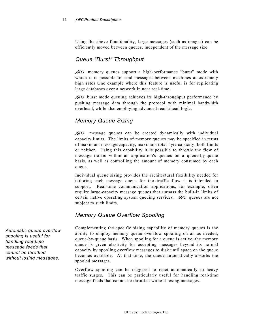Using the above functionality, large messages (such as images) can be efficiently moved between queues, independent of the message size.

# *Queue "Burst" Throughput*

*XIPC* memory queues support a high-performance "burst" mode with which it is possible to send messages between machines at extremely high rates One example where this feature is useful is for replicating large databases over a network in near real-time.

*XIPC* burst mode queuing achieves its high-throughput performance by pushing message data through the protocol with minimal bandwidth overhead, while also employing advanced read-ahead logic.

# *Memory Queue Sizing*

*XIPC* message queues can be created dynamically with individual capacity limits. The limits of memory queues may be specified in terms of maximum message capacity, maximum total byte capacity, both limits or neither. Using this capability it is possible to throttle the flow of message traffic within an application's queues on a queue-by-queue basis, as well as controlling the amount of memory consumed by each queue.

Individual queue sizing provides the architectural flexibility needed for tailoring each message queue for the traffic flow it is intended to support. Real-time communication applications, for example, often require large-capacity message queues that surpass the built-in limits of certain native operating system queuing services. *XIPC* queues are not subject to such limits.

# *Memory Queue Overflow Spooling*

Complementing the specific sizing capability of memory queues is the ability to employ memory queue overflow spooling on an as needed, queue-by-queue basis. When spooling for a queue is active, the memory queue is given elasticity for accepting messages beyond its normal capacity by spooling overflow messages to disk until space on the queue becomes available. At that time, the queue automatically absorbs the spooled messages.

Overflow spooling can be triggered to react automatically to heavy traffic surges. This can be particularly useful for handling real-time message feeds that cannot be throttled without losing messages.

*Automatic queue overflow spooling is useful for handling real-time message feeds that cannot be throttled without losing messages.*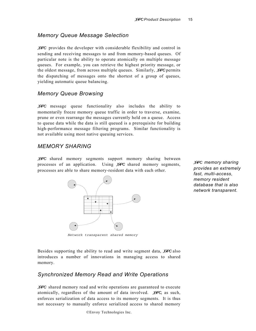#### *Memory Queue Message Selection*

*XIPC* provides the developer with considerable flexibility and control in sending and receiving messages to and from memory-based queues. Of particular note is the ability to operate atomically on multiple message queues. For example, you can retrieve the highest priority message, or the oldest message, from across multiple queues. Similarly, *XIPC* permits the dispatching of messages onto the shortest of a group of queues, yielding automatic queue balancing.

#### *Memory Queue Browsing*

*XIPC* message queue functionality also includes the ability to momentarily freeze memory queue traffic in order to traverse, examine, prune or even rearrange the messages currently held on a queue. Access to queue data while the data is still queued is a prerequisite for building high-performance message filtering programs. Similar functionality is not available using most native queuing services.

#### *MEMORY SHARING*

*XIPC* shared memory segments support memory sharing between processes of an application. Using *XIPC* shared memory segments, processes are able to share memory-resident data with each other.



*XIPC memory sharing provides an extremely fast, multi-access, memory resident database that is also network transparent.* 

*Network transparent shared memory*

Besides supporting the ability to read and write segment data, *XIPC* also introduces a number of innovations in managing access to shared memory.

#### *Synchronized Memory Read and Write Operations*

*XIPC* shared memory read and write operations are guaranteed to execute atomically, regardless of the amount of data involved. *XIPC*, as such, enforces serialization of data access to its memory segments. It is thus not necessary to manually enforce serialized access to shared memory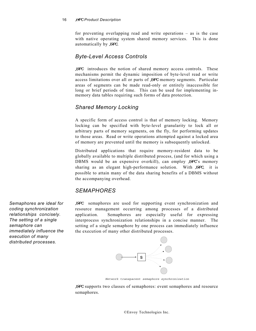#### 16 *XIPC Product Description*

for preventing overlapping read and write operations – as is the case with native operating system shared memory services. This is done automatically by *XIPC*.

#### *Byte-Level Access Controls*

*XIPC* introduces the notion of shared memory access controls. These mechanisms permit the dynamic imposition of byte-level read or write access limitations over all or parts of *XIPC* memory segments. Particular areas of segments can be made read-only or entirely inaccessible for long or brief periods of time. This can be used for implementing inmemory data tables requiring such forms of data protection.

#### *Shared Memory Locking*

A specific form of access control is that of memory locking. Memory locking can be specified with byte-level granularity to lock all or arbitrary parts of memory segments, on the fly, for performing updates to those areas. Read or write operations attempted against a locked area of memory are prevented until the memory is subsequently unlocked.

Distributed applications that require memory-resident data to be globally available to multiple distributed process, (and for which using a DBMS would be an expensive overkill), can employ *XIPC*'s memory sharing as an elegant high-performance solution. With *XIPC,* it is possible to attain many of the data sharing benefits of a DBMS without the accompanying overhead.

# *SEMAPHORES*

*XIPC* semaphores are used for supporting event synchronization and resource management occurring among processes of a distributed application. Semaphores are especially useful for expressing interprocess synchronization relationships in a concise manner. The setting of a single semaphore by one process can immediately influence the execution of many other distributed processes.



*Network transparent semaphore synchronization*

*XIPC* supports two classes of semaphores: event semaphores and resource semaphores.

*Semaphores are ideal for coding synchronization relationships concisely. The setting of a single semaphore can immediately influence the execution of many distributed processes.*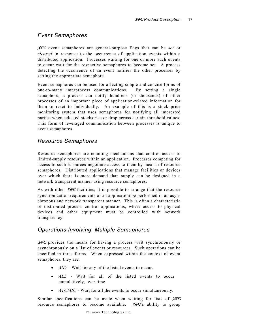#### *Event Semaphores*

*XIPC* event semaphores are general-purpose flags that can be *set* or *clear*e*d* in response to the occurrence of application events within a distributed application. Processes waiting for one or more such events to occur wait for the respective semaphores to become set. A process detecting the occurrence of an event notifies the other processes by setting the appropriate semaphore.

Event semaphores can be used for affecting simple and concise forms of one-to-many interprocess communications. By setting a single semaphore, a process can notify hundreds (or thousands) of other processes of an important piece of application-related information for them to react to individually. An example of this is a stock price monitoring system that uses semaphores for notifying all interested parties when selected stocks rise or drop across certain threshold values. This form of leveraged communication between processes is unique to event semaphores.

### *Resource Semaphores*

Resource semaphores are counting mechanisms that control access to limited-supply resources within an application. Processes competing for access to such resources negotiate access to them by means of resource semaphores. Distributed applications that manage facilities or devices over which there is more demand than supply can be designed in a network transparent manner using resource semaphores.

As with other *XIPC* facilities, it is possible to arrange that the resource synchronization requirements of an application be performed in an asynchronous and network transparent manner. This is often a characteristic of distributed process control applications, where access to physical devices and other equipment must be controlled with network transparency.

#### *Operations Involving Multiple Semaphores*

*XIPC* provides the means for having a process wait synchronously or asynchronously on a list of events or resources. Such operations can be specified in three forms. When expressed within the context of event semaphores, they are:

- *ANY* Wait for any of the listed events to occur.
- *ALL* Wait for all of the listed events to occur cumulatively, over time.
- *ATOMIC* Wait for all the events to occur simultaneously.

Similar specifications can be made when waiting for lists of *XIPC* resource semaphores to become available. *XIPC*'s ability to group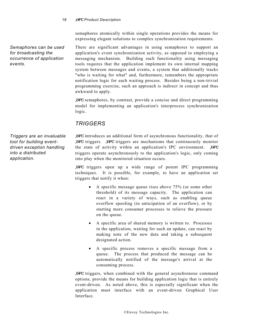semaphores atomically within single operations provides the means for expressing elegant solutions to complex synchronization requirements.

There are significant advantages in using semaphores to support an application's event synchronization activity, as opposed to employing a messaging mechanism. Building such functionality using messaging tools requires that the application implement its own internal mapping system between messages and events, a system that additionally tracks "who is waiting for what" and, furthermore, remembers the appropriate notification logic for each waiting process. Besides being a non-trivial programming exercise, such an approach is indirect in concept and thus awkward to apply.

*XIPC* semaphores, by contrast, provide a concise and direct programming model for implementing an application's interprocess synchronization logic.

# *TRIGGERS*

*Triggers are an invaluable tool for building eventdriven exception handling into a distributed application.* 

*Semaphores can be used for broadcasting the occurrence of application* 

*events.* 

*XIPC* introduces an additional form of asynchronous functionality, that of *XIPC* triggers. *XIPC* triggers are mechanisms that continuously monitor the state of activity within an application's IPC environment. *XIPC* triggers operate asynchronously to the application's logic, only coming into play when the monitored situation occurs.

*XIPC* triggers open up a wide range of potent IPC programming techniques. It is possible, for example, to have an application set triggers that notify it when:

- A specific message queue rises above 75% (or some other threshold) of its message capacity. The application can react in a variety of ways, such as enabling queue overflow spooling (in anticipation of an overflow), or by starting more consumer processes to relieve the pressure on the queue.
- A specific area of shared memory is written to. Processes in the application, waiting for such an update, can react by making note of the new data and taking a subsequent designated action.
- A specific process removes a specific message from a queue. The process that produced the message can be automatically notified of the message's arrival at the consuming process.

*XIPC* triggers, when combined with the general asynchronous command options, provide the means for building application logic that is entirely event-driven. As noted above, this is especially significant when the application must interface with an event-driven Graphical User Interface.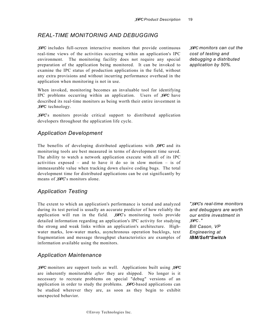### *REAL-TIME MONITORING AND DEBUGGING*

*XIPC* includes full-screen interactive monitors that provide continuous real-time views of the activities occurring within an application's IPC environment. The monitoring facility does not require any special preparation of the application being monitored. It can be invoked to examine the IPC status of production applications in the field, without any extra provisions and without incurring performance overhead in the application when monitoring is not in use.

When invoked, monitoring becomes an invaluable tool for identifying IPC problems occurring within an application. Users of *XIPC* have described its real-time monitors as being worth their entire investment in *XIPC* technology.

*XIPC*'s monitors provide critical support to distributed application developers throughout the application life cycle.

#### *Application Development*

The benefits of developing distributed applications with *XIPC* and its monitoring tools are best measured in terms of development time saved. The ability to watch a network application execute with all of its IPC activities exposed – and to have it do so in slow motion – is of immeasurable value when tracking down elusive coding bugs. The total development time for distributed applications can be cut significantly by means of *XIPC*'s monitors alone.

#### *Application Testing*

The extent to which an application's performance is tested and analyzed during its test period is usually an accurate predictor of how reliably the application will run in the field. *XIPC*'s monitoring tools provide detailed information regarding an application's IPC activity for studying the strong and weak links within an application's architecture. Highwater marks, low-water marks, asynchronous operation backlogs, text fragmentation and message throughput characteristics are examples of information available using the monitors.

#### *Application Maintenance*

*XIPC* monitors are support tools as well. Applications built using *XIPC* are inherently monitorable *after* they are shipped. No longer is it necessary to recreate problems on special "debug" versions of an application in order to study the problems. *XIPC*-based applications can be studied wherever they are, as soon as they begin to exhibit unexpected behavior.

*XIPC monitors can cut the cost of testing and debugging a distributed application by 50%.* 

*"XIPC's real-time monitors and debuggers are worth our entire investment in XIPC ." Bill Cason, VP Engineering at IBM/Soft\*Switch*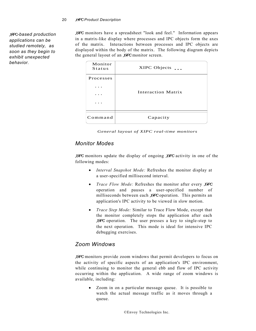*X*IPC*-based production applications can be studied remotely, as soon as they begin to exhibit unexpected behavior.* 

*XIPC* monitors have a spreadsheet "look and feel." Information appears in a matrix-like display where processes and IPC objects form the axes of the matrix. Interactions between processes and IPC objects are displayed within the body of the matrix. The following diagram depicts the general layout of an *XIPC* monitor screen.

| Monitor<br><b>Status</b> | XIPC Objects       |
|--------------------------|--------------------|
| <b>Processes</b>         |                    |
|                          |                    |
|                          | Interaction Matrix |
|                          |                    |
|                          |                    |
| Comman                   | Capacity           |

*General layout of XIPC real-time monitors*

# *Monitor Modes*

*XIPC* monitors update the display of ongoing *XIPC* activity in one of the following modes:

- *Interval Snapshot Mode:* Refreshes the monitor display at a user-specified millisecond interval.
- *Trace Flow Mode:* Refreshes the monitor after every *XIPC* operation and pauses a user-specified number of milliseconds between each *XIPC* operation. This permits an application's IPC activity to be viewed in slow motion.
- *Trace Step Mode:* Similar to Trace Flow Mode, except that the monitor completely stops the application after each *XIPC* operation. The user presses a key to single-step to the next operation. This mode is ideal for intensive IPC debugging exercises.

# *Zoom Windows*

*XIPC* monitors provide zoom windows that permit developers to focus on the activity of specific aspects of an application's IPC environment, while continuing to monitor the general ebb and flow of IPC activity occurring within the application. A wide range of zoom windows is available, including:

• Zoom in on a particular message queue. It is possible to watch the actual message traffic as it moves through a queue.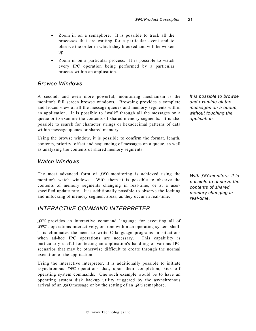- Zoom in on a semaphore. It is possible to track all the processes that are waiting for a particular event and to observe the order in which they blocked and will be woken up.
- Zoom in on a particular process. It is possible to watch every IPC operation being performed by a particular process within an application.

#### *Browse Windows*

A second, and even more powerful, monitoring mechanism is the monitor's full screen browse windows. Browsing provides a complete and frozen view of all the message queues and memory segments within an application. It is possible to "walk" through all the messages on a queue or to examine the contents of shared memory segments. It is also possible to search for character strings or hexadecimal patterns of data within message queues or shared memory.

Using the browse window, it is possible to confirm the format, length, contents, priority, offset and sequencing of messages on a queue, as well as analyzing the contents of shared memory segments.

#### *Watch Windows*

The most advanced form of *XIPC* monitoring is achieved using the monitor's watch windows. With them it is possible to observe the contents of memory segments changing in real-time, or at a userspecified update rate. It is additionally possible to observe the locking and unlocking of memory segment areas, as they occur in real-time.

#### *INTERACTIVE COMMAND INTERPRETER*

*XIPC* provides an interactive command language for executing all of *XIPC*'s operations interactively, or from within an operating system shell. This eliminates the need to write C-language programs in situations when ad-hoc IPC operations are necessary. This capability is particularly useful for testing an application's handling of various IPC scenarios that may be otherwise difficult to create through the normal execution of the application.

Using the interactive interpreter, it is additionally possible to initiate asynchronous *XIPC* operations that, upon their completion, kick off operating system commands. One such example would be to have an operating system disk backup utility triggered by the asynchronous arrival of an *XIPC* message or by the setting of an *XIPC* semaphore.

*It is possible to browse and examine all the messages on a queue, without touching the application.* 

*With XIPCmonitors, it is possible to observe the contents of shared memory changing in real-time.*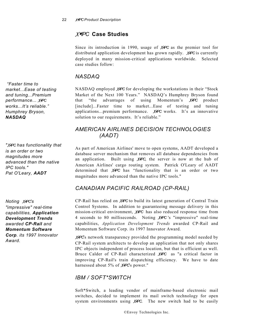# *XIPC* **Case Studies**

Since its introduction in 1990, usage of *XIPC* as the premier tool for distributed application development has grown rapidly. *XIPC* is currently deployed in many mission-critical applications worldwide. Selected case studies follow:

# *NASDAQ*

NASDAQ employed *XIPC* for developing the workstations in their "Stock Market of the Next 100 Years." NASDAQ's Humphrey Bryson found that "the advantages of using Momentum's *XIPC* product [include]...Faster time to market...Ease of testing and tuning applications...premium performance. *XIPC* works. It's an innovative solution to our requirements. It's reliable."

# *AMERICAN AIRLINES DECISION TECHNOLOGIES (AADT)*

As part of American Airlines' move to open systems, AADT developed a database server mechanism that removes all database dependencies from an application. Built using *XIPC*, the server is now at the hub of American Airlines' cargo routing system. Patrick O'Leary of AADT determined that *XIPC* has "functionality that is an order or two magnitudes more advanced than the native IPC tools."

# *CANADIAN PACIFIC RAILROAD (CP-RAIL)*

CP-Rail has relied on *XIPC* to build its latest generation of Central Train Control Systems. In addition to guaranteeing message delivery in this mission-critical environment, *XIPC* has also reduced response time from 4 seconds to 80 milliseconds. Noting *XIPC* 's "impressive" real-time capabilities, *Application Development Trends* awarded CP-Rail and Momentum Software Corp. its 1997 Innovator Award.

**COIP**. Its 1997 Innovator  $X$ *IPC*'s network transparency provided the programming model needed by Award. CP-Rail system architects to develop an application that not only shares IPC objects independent of process location, but that is efficient as well. Bruce Calder of CP-Rail characterized *XIPC* as "a critical factor in improving CP-Rail's train dispatching efficiency. We have to date harnessed about 5% of *XIPC*'s power."

# *IBM / SOFT\*SWITCH*

Soft\*Switch, a leading vendor of mainframe-based electronic mail switches, decided to implement its mail switch technology for open system environments using *XIPC*. The new switch had to be easily

 *"Faster time to market...Ease of testing and tuning...Premium performance... XIPC works...It's reliable." Humphrey Bryson, NASDAQ*

*"XIPC has functionality that is an order or two magnitudes more advanced than the native IPC tools." Pat O'Leary, AADT*

*Noting XIPC's "impressive" real-time capabilities, Application Development Trends awarded CP-Rail and Momentum Software Corp. its 1997 Innovator*